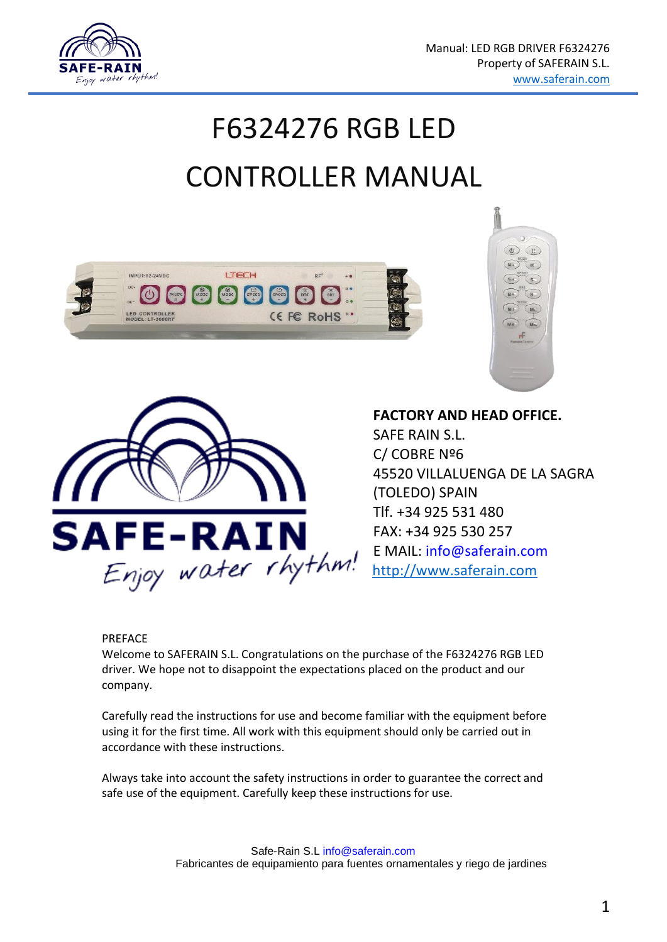

# F6324276 RGB LED CONTROLLER MANUAL







**FACTORY AND HEAD OFFICE.** SAFE RAIN S.L. C/ COBRE Nº6 45520 VILLALUENGA DE LA SAGRA (TOLEDO) SPAIN Tlf. +34 925 531 480 FAX: +34 925 530 257 E MAIL: info@saferain.com [http://www.saferain.com](http://www.saferain.com/) 

#### **PREFACE**

Welcome to SAFERAIN S.L. Congratulations on the purchase of the F6324276 RGB LED driver. We hope not to disappoint the expectations placed on the product and our company.

Carefully read the instructions for use and become familiar with the equipment before using it for the first time. All work with this equipment should only be carried out in accordance with these instructions.

Always take into account the safety instructions in order to guarantee the correct and safe use of the equipment. Carefully keep these instructions for use.

> Safe-Rain S.L info@saferain.com Fabricantes de equipamiento para fuentes ornamentales y riego de jardines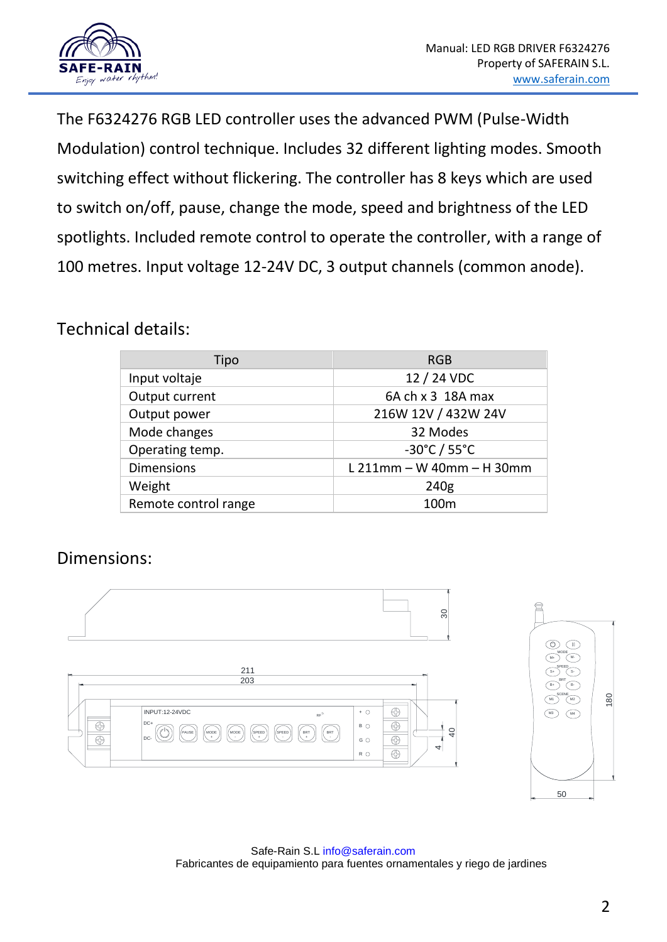

The F6324276 RGB LED controller uses the advanced PWM (Pulse-Width Modulation) control technique. Includes 32 different lighting modes. Smooth switching effect without flickering. The controller has 8 keys which are used to switch on/off, pause, change the mode, speed and brightness of the LED spotlights. Included remote control to operate the controller, with a range of 100 metres. Input voltage 12-24V DC, 3 output channels (common anode).

### Technical details:

| Tipo                 | <b>RGB</b>                  |
|----------------------|-----------------------------|
| Input voltaje        | 12 / 24 VDC                 |
| Output current       | 6A ch x 3 18A max           |
| Output power         | 216W 12V / 432W 24V         |
| Mode changes         | 32 Modes                    |
| Operating temp.      | -30°C / 55°C                |
| <b>Dimensions</b>    | $L$ 211mm – W 40mm – H 30mm |
| Weight               | 240g                        |
| Remote control range | 100 <sub>m</sub>            |

### Dimensions:



Safe-Rain S.L info@saferain.com Fabricantes de equipamiento para fuentes ornamentales y riego de jardines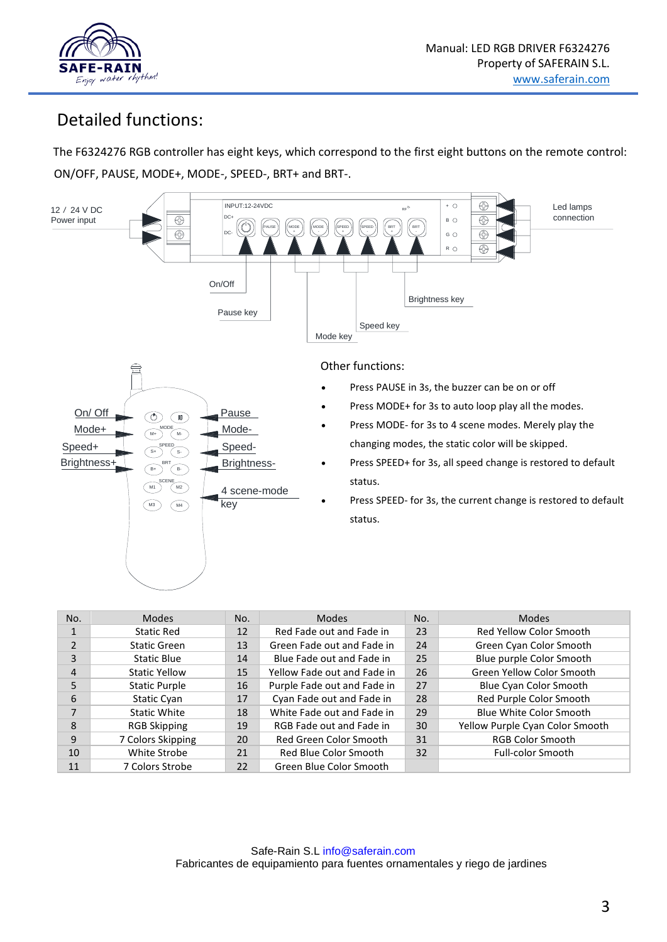

# Detailed functions:

The F6324276 RGB controller has eight keys, which correspond to the first eight buttons on the remote control: ON/OFF, PAUSE, MODE+, MODE-, SPEED-, BRT+ and BRT-.



| No.            | Modes                | No. | Modes                       | No. | Modes                           |
|----------------|----------------------|-----|-----------------------------|-----|---------------------------------|
| $\mathbf{1}$   | <b>Static Red</b>    | 12  | Red Fade out and Fade in    | 23  | Red Yellow Color Smooth         |
| $\overline{2}$ | Static Green         | 13  | Green Fade out and Fade in  | 24  | Green Cyan Color Smooth         |
| 3              | <b>Static Blue</b>   | 14  | Blue Fade out and Fade in   | 25  | Blue purple Color Smooth        |
| 4              | <b>Static Yellow</b> | 15  | Yellow Fade out and Fade in | 26  | Green Yellow Color Smooth       |
| 5              | <b>Static Purple</b> | 16  | Purple Fade out and Fade in | 27  | <b>Blue Cyan Color Smooth</b>   |
| 6              | Static Cyan          | 17  | Cyan Fade out and Fade in   | 28  | Red Purple Color Smooth         |
| 7              | Static White         | 18  | White Fade out and Fade in  | 29  | Blue White Color Smooth         |
| 8              | <b>RGB Skipping</b>  | 19  | RGB Fade out and Fade in    | 30  | Yellow Purple Cyan Color Smooth |
| 9              | 7 Colors Skipping    | 20  | Red Green Color Smooth      | 31  | <b>RGB Color Smooth</b>         |
| 10             | White Strobe         | 21  | Red Blue Color Smooth       | 32  | <b>Full-color Smooth</b>        |
| 11             | 7 Colors Strobe      | 22  | Green Blue Color Smooth     |     |                                 |

Safe-Rain S.L info@saferain.com Fabricantes de equipamiento para fuentes ornamentales y riego de jardines